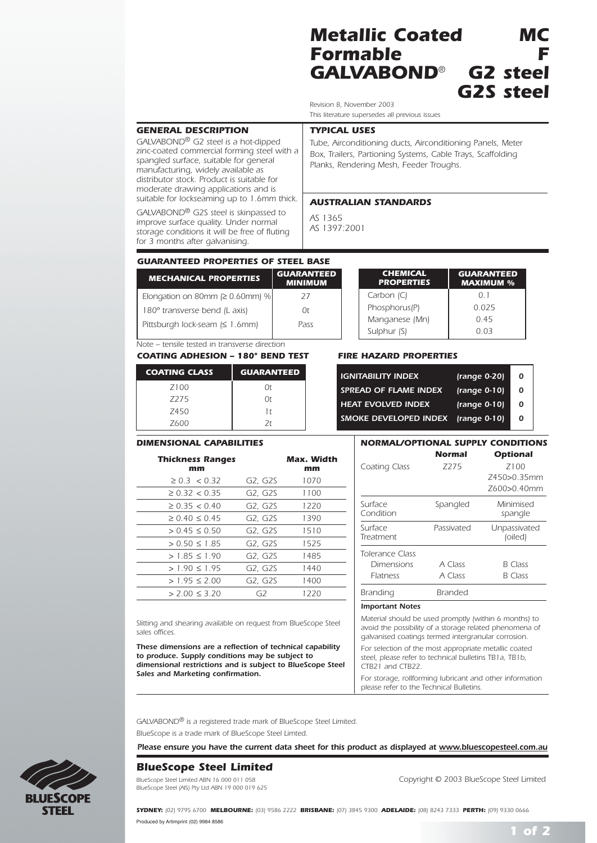# *Metallic Coated MC Formable F*  $GALVABOND<sup>®</sup>$ *G2S steel*

*Revision 8, November 2003 This literature supersedes all previous issues*

### *GENERAL DESCRIPTION*

*GALVABOND® G2 steel is a hot-dipped zinc-coated commercial forming steel with a spangled surface, suitable for general manufacturing, widely available as distributor stock. Product is suitable for moderate drawing applications and is suitable for lockseaming up to 1.6mm thick.*

*GALVABOND® G2S steel is skinpassed to improve surface quality. Under normal storage conditions it will be free of fluting for 3 months after galvanising.*

#### *TYPICAL USES*

*Tube, Airconditioning ducts, Airconditioning Panels, Meter Box, Trailers, Partioning Systems, Cable Trays, Scaffolding Planks, Rendering Mesh, Feeder Troughs.*

#### *AUSTRALIAN STANDARDS*

*AS 1365 AS 1397:2001*

# *GUARANTEED PROPERTIES OF STEEL BASE*

| <b>MECHANICAL PROPERTIES</b>           | <b>GUARANTEED</b><br><b>MINIMUM</b> |
|----------------------------------------|-------------------------------------|
| Elongation on 80mm ( $\geq 0.60$ mm) % | 27                                  |
| 180° transverse bend (L axis)          | 0t                                  |
| Pittsburgh lock-seam (≤ 1.6mm)         | Pass                                |

*Note – tensile tested in transverse direction*

*COATING ADHESION – 180º BEND TEST FIRE HAZARD PROPERTIES*

| <b>COATING CLASS</b> | <b>GUARANTEED</b> |
|----------------------|-------------------|
| Z <sub>100</sub>     | 0t                |
| 7275                 | 0t                |
| Z450                 | 1 t               |
| Z600                 | 2t                |

#### *DIMENSIONAL CAPABILITIES*

| <b>Thickness Ranges</b><br>mm |         | Max. Width<br>mm |
|-------------------------------|---------|------------------|
| $\geq 0.3 < 0.32$             | G2, G2S | 1070             |
| $\geq$ 0.32 $\lt$ 0.35        | G2, G2S | 1100             |
| $\geq$ 0.35 $\lt$ 0.40        | G2, G2S | 1220             |
| $\geq$ 0.40 $\leq$ 0.45       | G2, G2S | 1390             |
| $> 0.45 \le 0.50$             | G2, G2S | 1510             |
| $> 0.50 \le 1.85$             | G2, G2S | 1525             |
| $> 1.85 \le 1.90$             | G2. G2S | 1485             |
| $> 1.90 \le 1.95$             | G2, G2S | 1440             |
| $> 1.95 \le 2.00$             | G2, G2S | 1400             |
| $> 2.00 \le 3.20$             | GZ.     | 1220             |

*Slitting and shearing available on request from BlueScope Steel sales offices.*

*These dimensions are a reflection of technical capability to produce. Supply conditions may be subject to dimensional restrictions and is subject to BlueScope Steel Sales and Marketing confirmation.*

| <b>CHEMICAL</b><br><b>PROPERTIES</b> | <b>GUARANTEED</b><br><b>MAXIMUM %</b> |
|--------------------------------------|---------------------------------------|
| Carbon $(C)$                         | $\Omega$ 1                            |
| Phosphorus(P)                        | 0.025                                 |
| Manganese (Mn)                       | 0.45                                  |
| Sulphur (S)                          | O 03                                  |

| <b>IGNITABILITY INDEX</b> | $ \nrange 0-20\n$ | O |
|---------------------------|-------------------|---|
| SPREAD OF FLAME INDEX     | $1$ (range 0-10)  | O |
| <b>HEAT EVOLVED INDEX</b> | $\{range\ 0-10\}$ | 0 |
| SMOKE DEVELOPED INDEX     | $\{range\ 0-10\}$ | U |
|                           |                   |   |

# *NORMAL/OPTIONAL SUPPLY CONDITIONS*

|                      | Normal     | <b>Optional</b>         |
|----------------------|------------|-------------------------|
| Coating Class        | 7275       | 7100                    |
|                      |            | Z450>0.35mm             |
|                      |            | Z600>0.40mm             |
| Surface<br>Condition | Spangled   | Minimised<br>spangle    |
| Surface<br>Treatment | Passivated | Unpassivated<br>(oiled) |
| Tolerance Class      |            |                         |
| Dimensions           | A Class    | <b>B</b> Class          |
| <b>Flatness</b>      | A Class    | B Class                 |
| Branding             | Branded    |                         |

#### *Important Notes*

*Material should be used promptly (within 6 months) to avoid the possibility of a storage related phenomena of galvanised coatings termed intergranular corrosion. For selection of the most appropriate metallic coated steel, please refer to technical bulletins TB1a, TB1b, CTB21 and CTB22.* 

*For storage, rollforming lubricant and other information please refer to the Technical Bulletins.*

*GALVABOND® is a registered trade mark of BlueScope Steel Limited. BlueScope is a trade mark of BlueScope Steel Limted.*

*Please ensure you have the current data sheet for this product as displayed at www.bluescopesteel.com.au*

# *BlueScope Steel Limited*

*BlueScope Steel (AIS) Pty Ltd ABN 19 000 019 625*

*BlueScope Steel Limited ABN 16 000 011 058 Copyright © 2003 BlueScope Steel Limited*

*SYDNEY: (02) 9795 6700 MELBOURNE: (03) 9586 2222 BRISBANE: (07) 3845 9300 ADELAIDE: (08) 8243 7333 PERTH: (09) 9330 0666* Produced by Artimprint (02) 9984 8586